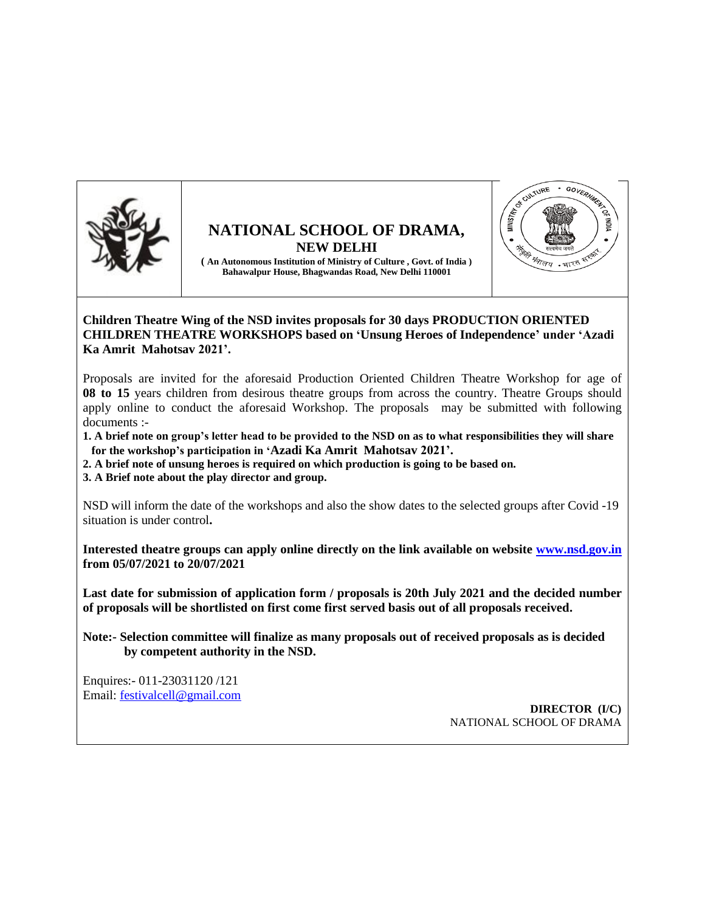

## **NATIONAL SCHOOL OF DRAMA, NEW DELHI**



**( An Autonomous Institution of Ministry of Culture , Govt. of India ) Bahawalpur House, Bhagwandas Road, New Delhi 110001**

## **Children Theatre Wing of the NSD invites proposals for 30 days PRODUCTION ORIENTED CHILDREN THEATRE WORKSHOPS based on 'Unsung Heroes of Independence' under 'Azadi Ka Amrit Mahotsav 2021'.**

Proposals are invited for the aforesaid Production Oriented Children Theatre Workshop for age of **08 to 15** years children from desirous theatre groups from across the country. Theatre Groups should apply online to conduct the aforesaid Workshop. The proposals may be submitted with following documents :-

**1. A brief note on group's letter head to be provided to the NSD on as to what responsibilities they will share for the workshop's participation in 'Azadi Ka Amrit Mahotsav 2021'.**

**2. A brief note of unsung heroes is required on which production is going to be based on.**

**3. A Brief note about the play director and group.** 

NSD will inform the date of the workshops and also the show dates to the selected groups after Covid -19 situation is under control**.**

**Interested theatre groups can apply online directly on the link available on website [www.nsd.gov.in](http://www.nsd.gov.in/) from 05/07/2021 to 20/07/2021**

**Last date for submission of application form / proposals is 20th July 2021 and the decided number of proposals will be shortlisted on first come first served basis out of all proposals received.**

**Note:- Selection committee will finalize as many proposals out of received proposals as is decided by competent authority in the NSD.** 

Enquires:- 011-23031120 /121 Email: [festivalcell@gmail.com](mailto:festivalcell@gmail.com)

**DIRECTOR (I/C)** NATIONAL SCHOOL OF DRAMA